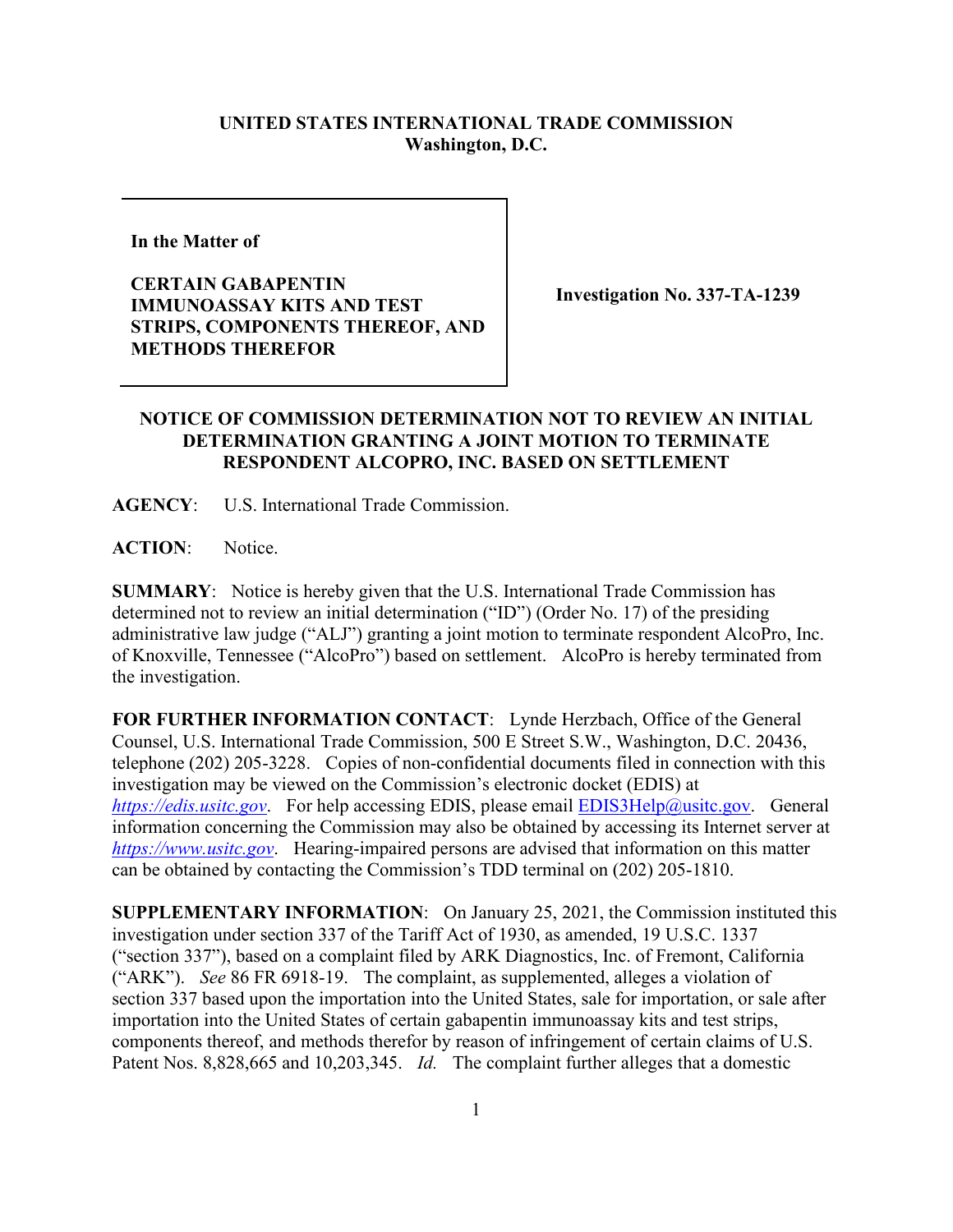## **UNITED STATES INTERNATIONAL TRADE COMMISSION Washington, D.C.**

**In the Matter of** 

**CERTAIN GABAPENTIN IMMUNOASSAY KITS AND TEST STRIPS, COMPONENTS THEREOF, AND METHODS THEREFOR**

**Investigation No. 337-TA-1239**

## **NOTICE OF COMMISSION DETERMINATION NOT TO REVIEW AN INITIAL DETERMINATION GRANTING A JOINT MOTION TO TERMINATE RESPONDENT ALCOPRO, INC. BASED ON SETTLEMENT**

**AGENCY**: U.S. International Trade Commission.

**ACTION**: Notice.

**SUMMARY**: Notice is hereby given that the U.S. International Trade Commission has determined not to review an initial determination ("ID") (Order No. 17) of the presiding administrative law judge ("ALJ") granting a joint motion to terminate respondent AlcoPro, Inc. of Knoxville, Tennessee ("AlcoPro") based on settlement. AlcoPro is hereby terminated from the investigation.

**FOR FURTHER INFORMATION CONTACT**: Lynde Herzbach, Office of the General Counsel, U.S. International Trade Commission, 500 E Street S.W., Washington, D.C. 20436, telephone (202) 205-3228. Copies of non-confidential documents filed in connection with this investigation may be viewed on the Commission's electronic docket (EDIS) at *[https://edis.usitc.gov](https://edis.usitc.gov/).* For help accessing EDIS, please email [EDIS3Help@usitc.gov.](mailto:EDIS3Help@usitc.gov) General information concerning the Commission may also be obtained by accessing its Internet server at *[https://www.usitc.gov](https://www.usitc.gov/)*. Hearing-impaired persons are advised that information on this matter can be obtained by contacting the Commission's TDD terminal on (202) 205-1810.

**SUPPLEMENTARY INFORMATION**: On January 25, 2021, the Commission instituted this investigation under section 337 of the Tariff Act of 1930, as amended, 19 U.S.C. 1337 ("section 337"), based on a complaint filed by ARK Diagnostics, Inc. of Fremont, California ("ARK"). *See* 86 FR 6918-19. The complaint, as supplemented, alleges a violation of section 337 based upon the importation into the United States, sale for importation, or sale after importation into the United States of certain gabapentin immunoassay kits and test strips, components thereof, and methods therefor by reason of infringement of certain claims of U.S. Patent Nos. 8,828,665 and 10,203,345. *Id.* The complaint further alleges that a domestic